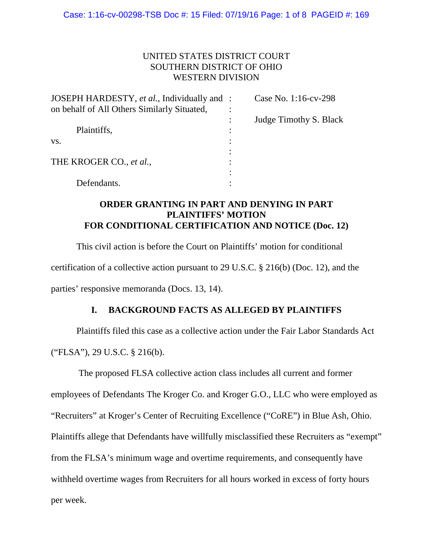# UNITED STATES DISTRICT COURT SOUTHERN DISTRICT OF OHIO WESTERN DIVISION

| JOSEPH HARDESTY, et al., Individually and : | Case No. 1:16-cv-298   |
|---------------------------------------------|------------------------|
| on behalf of All Others Similarly Situated, |                        |
|                                             | Judge Timothy S. Black |
| Plaintiffs,                                 |                        |
| VS.                                         |                        |
|                                             |                        |
| THE KROGER CO., et al.,                     |                        |
|                                             |                        |
| Defendants.                                 |                        |

# **ORDER GRANTING IN PART AND DENYING IN PART PLAINTIFFS' MOTION FOR CONDITIONAL CERTIFICATION AND NOTICE (Doc. 12)**

This civil action is before the Court on Plaintiffs' motion for conditional certification of a collective action pursuant to 29 U.S.C. § 216(b) (Doc. 12), and the parties' responsive memoranda (Docs. 13, 14).

# **I. BACKGROUND FACTS AS ALLEGED BY PLAINTIFFS**

Plaintiffs filed this case as a collective action under the Fair Labor Standards Act ("FLSA"), 29 U.S.C. § 216(b).

The proposed FLSA collective action class includes all current and former employees of Defendants The Kroger Co. and Kroger G.O., LLC who were employed as "Recruiters" at Kroger's Center of Recruiting Excellence ("CoRE") in Blue Ash, Ohio. Plaintiffs allege that Defendants have willfully misclassified these Recruiters as "exempt" from the FLSA's minimum wage and overtime requirements, and consequently have withheld overtime wages from Recruiters for all hours worked in excess of forty hours per week.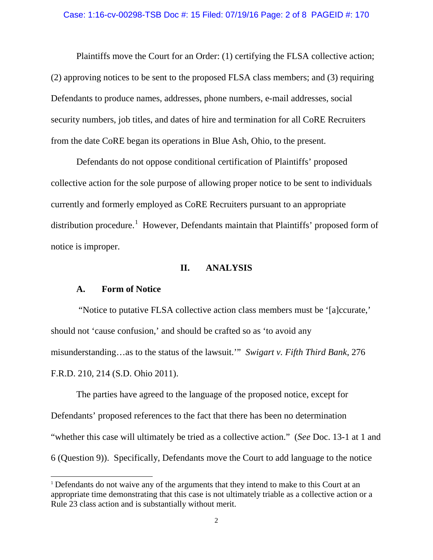#### Case: 1:16-cv-00298-TSB Doc #: 15 Filed: 07/19/16 Page: 2 of 8 PAGEID #: 170

Plaintiffs move the Court for an Order: (1) certifying the FLSA collective action; (2) approving notices to be sent to the proposed FLSA class members; and (3) requiring Defendants to produce names, addresses, phone numbers, e-mail addresses, social security numbers, job titles, and dates of hire and termination for all CoRE Recruiters from the date CoRE began its operations in Blue Ash, Ohio, to the present.

Defendants do not oppose conditional certification of Plaintiffs' proposed collective action for the sole purpose of allowing proper notice to be sent to individuals currently and formerly employed as CoRE Recruiters pursuant to an appropriate distribution procedure.<sup>[1](#page-1-0)</sup> However, Defendants maintain that Plaintiffs' proposed form of notice is improper.

### **II. ANALYSIS**

## **A. Form of Notice**

"Notice to putative FLSA collective action class members must be '[a]ccurate,' should not 'cause confusion,' and should be crafted so as 'to avoid any misunderstanding…as to the status of the lawsuit.'" *Swigart v. Fifth Third Bank*, 276 F.R.D. 210, 214 (S.D. Ohio 2011).

The parties have agreed to the language of the proposed notice, except for Defendants' proposed references to the fact that there has been no determination "whether this case will ultimately be tried as a collective action." (*See* Doc. 13-1 at 1 and 6 (Question 9)). Specifically, Defendants move the Court to add language to the notice

<span id="page-1-0"></span><sup>&</sup>lt;sup>1</sup> Defendants do not waive any of the arguments that they intend to make to this Court at an appropriate time demonstrating that this case is not ultimately triable as a collective action or a Rule 23 class action and is substantially without merit.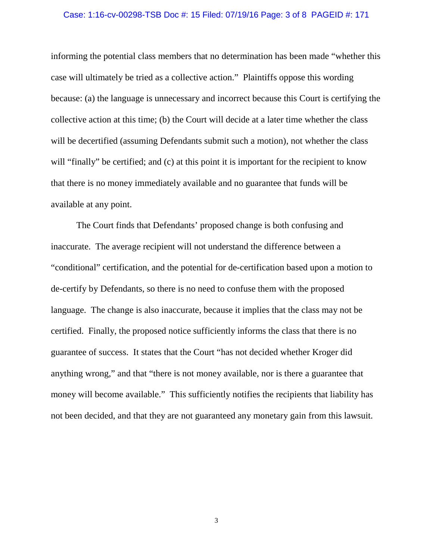#### Case: 1:16-cv-00298-TSB Doc #: 15 Filed: 07/19/16 Page: 3 of 8 PAGEID #: 171

informing the potential class members that no determination has been made "whether this case will ultimately be tried as a collective action." Plaintiffs oppose this wording because: (a) the language is unnecessary and incorrect because this Court is certifying the collective action at this time; (b) the Court will decide at a later time whether the class will be decertified (assuming Defendants submit such a motion), not whether the class will "finally" be certified; and (c) at this point it is important for the recipient to know that there is no money immediately available and no guarantee that funds will be available at any point.

The Court finds that Defendants' proposed change is both confusing and inaccurate. The average recipient will not understand the difference between a "conditional" certification, and the potential for de-certification based upon a motion to de-certify by Defendants, so there is no need to confuse them with the proposed language. The change is also inaccurate, because it implies that the class may not be certified. Finally, the proposed notice sufficiently informs the class that there is no guarantee of success. It states that the Court "has not decided whether Kroger did anything wrong," and that "there is not money available, nor is there a guarantee that money will become available." This sufficiently notifies the recipients that liability has not been decided, and that they are not guaranteed any monetary gain from this lawsuit.

3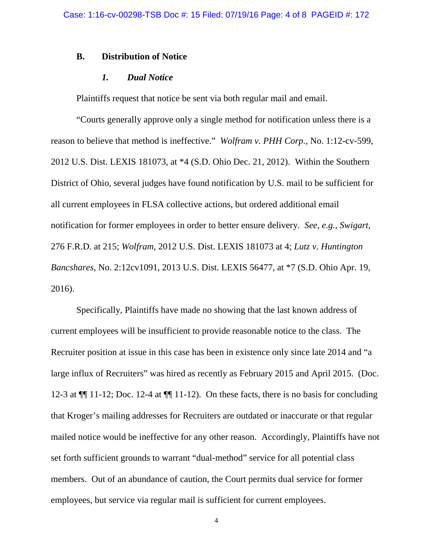### **B. Distribution of Notice**

### *1. Dual Notice*

Plaintiffs request that notice be sent via both regular mail and email.

"Courts generally approve only a single method for notification unless there is a reason to believe that method is ineffective." *Wolfram v. PHH Corp.*, No. 1:12-cv-599, 2012 U.S. Dist. LEXIS 181073, at \*4 (S.D. Ohio Dec. 21, 2012). Within the Southern District of Ohio, several judges have found notification by U.S. mail to be sufficient for all current employees in FLSA collective actions, but ordered additional email notification for former employees in order to better ensure delivery. *See, e.g., Swigart*, 276 F.R.D. at 215; *Wolfram*, 2012 U.S. Dist. LEXIS 181073 at 4; *Lutz v. Huntington Bancshares*, No. 2:12cv1091, 2013 U.S. Dist. LEXIS 56477, at \*7 (S.D. Ohio Apr. 19, 2016).

Specifically, Plaintiffs have made no showing that the last known address of current employees will be insufficient to provide reasonable notice to the class. The Recruiter position at issue in this case has been in existence only since late 2014 and "a large influx of Recruiters" was hired as recently as February 2015 and April 2015. (Doc. 12-3 at  $\P$  11-12; Doc. 12-4 at  $\P$  11-12). On these facts, there is no basis for concluding that Kroger's mailing addresses for Recruiters are outdated or inaccurate or that regular mailed notice would be ineffective for any other reason. Accordingly, Plaintiffs have not set forth sufficient grounds to warrant "dual-method" service for all potential class members. Out of an abundance of caution, the Court permits dual service for former employees, but service via regular mail is sufficient for current employees.

4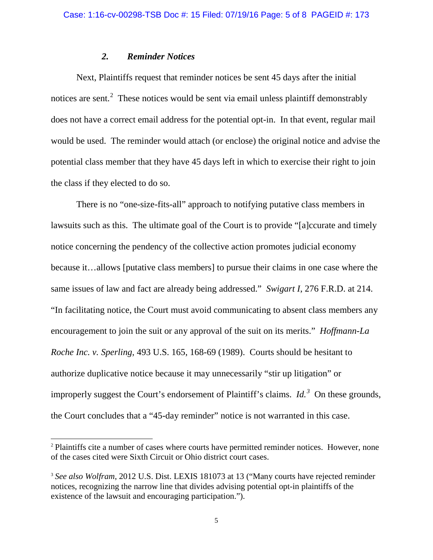## *2. Reminder Notices*

Next, Plaintiffs request that reminder notices be sent 45 days after the initial notices are sent.<sup>[2](#page-4-0)</sup> These notices would be sent via email unless plaintiff demonstrably does not have a correct email address for the potential opt-in. In that event, regular mail would be used. The reminder would attach (or enclose) the original notice and advise the potential class member that they have 45 days left in which to exercise their right to join the class if they elected to do so.

There is no "one-size-fits-all" approach to notifying putative class members in lawsuits such as this. The ultimate goal of the Court is to provide "[a]ccurate and timely notice concerning the pendency of the collective action promotes judicial economy because it…allows [putative class members] to pursue their claims in one case where the same issues of law and fact are already being addressed." *Swigart I*, 276 F.R.D. at 214. "In facilitating notice, the Court must avoid communicating to absent class members any encouragement to join the suit or any approval of the suit on its merits." *Hoffmann-La Roche Inc. v. Sperling*, 493 U.S. 165, 168-69 (1989). Courts should be hesitant to authorize duplicative notice because it may unnecessarily "stir up litigation" or improperly suggest the Court's endorsement of Plaintiff's claims. *Id.*<sup>[3](#page-4-1)</sup> On these grounds, the Court concludes that a "45-day reminder" notice is not warranted in this case.

<span id="page-4-0"></span><sup>&</sup>lt;sup>2</sup> Plaintiffs cite a number of cases where courts have permitted reminder notices. However, none of the cases cited were Sixth Circuit or Ohio district court cases.

<span id="page-4-1"></span><sup>3</sup> *See also Wolfram*, 2012 U.S. Dist. LEXIS 181073 at 13 ("Many courts have rejected reminder notices, recognizing the narrow line that divides advising potential opt-in plaintiffs of the existence of the lawsuit and encouraging participation.").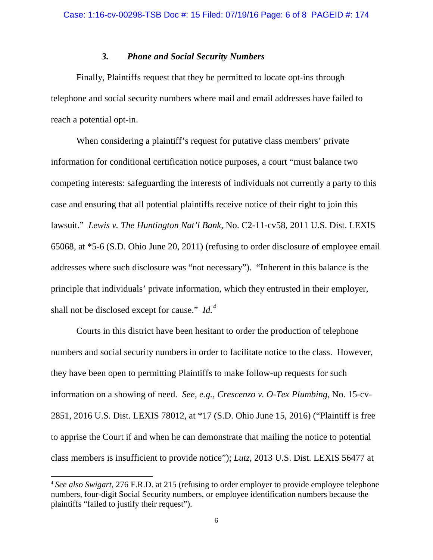### *3. Phone and Social Security Numbers*

Finally, Plaintiffs request that they be permitted to locate opt-ins through telephone and social security numbers where mail and email addresses have failed to reach a potential opt-in.

When considering a plaintiff's request for putative class members' private information for conditional certification notice purposes, a court "must balance two competing interests: safeguarding the interests of individuals not currently a party to this case and ensuring that all potential plaintiffs receive notice of their right to join this lawsuit." *Lewis v. The Huntington Nat'l Bank*, No. C2-11-cv58, 2011 U.S. Dist. LEXIS 65068, at \*5-6 (S.D. Ohio June 20, 2011) (refusing to order disclosure of employee email addresses where such disclosure was "not necessary"). "Inherent in this balance is the principle that individuals' private information, which they entrusted in their employer, shall not be disclosed except for cause." *Id.*<sup>[4](#page-5-0)</sup>

Courts in this district have been hesitant to order the production of telephone numbers and social security numbers in order to facilitate notice to the class. However, they have been open to permitting Plaintiffs to make follow-up requests for such information on a showing of need. *See, e.g., Crescenzo v. O-Tex Plumbing*, No. 15-cv-2851, 2016 U.S. Dist. LEXIS 78012, at \*17 (S.D. Ohio June 15, 2016) ("Plaintiff is free to apprise the Court if and when he can demonstrate that mailing the notice to potential class members is insufficient to provide notice"); *Lutz*, 2013 U.S. Dist. LEXIS 56477 at

<span id="page-5-0"></span> <sup>4</sup> *See also Swigart*, 276 F.R.D. at 215 (refusing to order employer to provide employee telephone numbers, four-digit Social Security numbers, or employee identification numbers because the plaintiffs "failed to justify their request").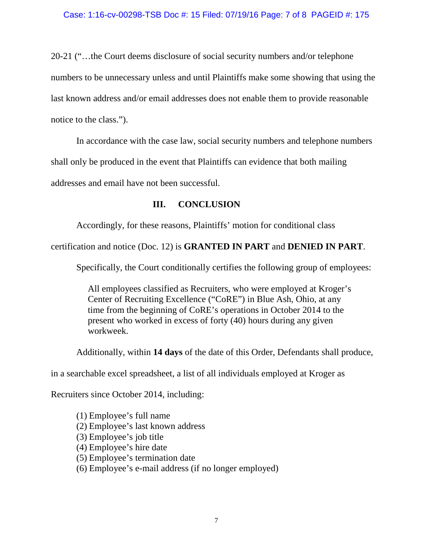20-21 ("…the Court deems disclosure of social security numbers and/or telephone numbers to be unnecessary unless and until Plaintiffs make some showing that using the last known address and/or email addresses does not enable them to provide reasonable notice to the class.").

In accordance with the case law, social security numbers and telephone numbers

shall only be produced in the event that Plaintiffs can evidence that both mailing

addresses and email have not been successful.

# **III. CONCLUSION**

Accordingly, for these reasons, Plaintiffs' motion for conditional class

certification and notice (Doc. 12) is **GRANTED IN PART** and **DENIED IN PART**.

Specifically, the Court conditionally certifies the following group of employees:

 All employees classified as Recruiters, who were employed at Kroger's Center of Recruiting Excellence ("CoRE") in Blue Ash, Ohio, at any time from the beginning of CoRE's operations in October 2014 to the present who worked in excess of forty (40) hours during any given workweek.

Additionally, within **14 days** of the date of this Order, Defendants shall produce,

in a searchable excel spreadsheet, a list of all individuals employed at Kroger as

Recruiters since October 2014, including:

(1) Employee's full name (2) Employee's last known address (3) Employee's job title (4) Employee's hire date (5) Employee's termination date (6) Employee's e-mail address (if no longer employed)